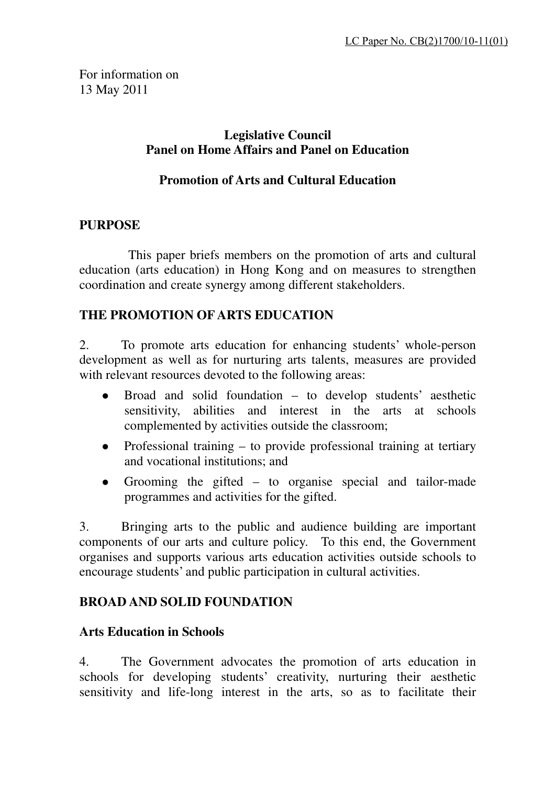For information on 13 May 2011

### **Legislative Council Panel on Home Affairs and Panel on Education**

### **Promotion of Arts and Cultural Education**

### **PURPOSE**

This paper briefs members on the promotion of arts and cultural education (arts education) in Hong Kong and on measures to strengthen coordination and create synergy among different stakeholders.

### **THE PROMOTION OF ARTS EDUCATION**

2. To promote arts education for enhancing students' whole-person development as well as for nurturing arts talents, measures are provided with relevant resources devoted to the following areas:

- Broad and solid foundation to develop students' aesthetic sensitivity, abilities and interest in the arts at schools complemented by activities outside the classroom;
- Professional training  $-$  to provide professional training at tertiary and vocational institutions; and
- Grooming the gifted to organise special and tailor-made programmes and activities for the gifted.

3. Bringing arts to the public and audience building are important components of our arts and culture policy. To this end, the Government organises and supports various arts education activities outside schools to encourage students' and public participation in cultural activities.

### **BROAD AND SOLID FOUNDATION**

### **Arts Education in Schools**

4. The Government advocates the promotion of arts education in schools for developing students' creativity, nurturing their aesthetic sensitivity and life-long interest in the arts, so as to facilitate their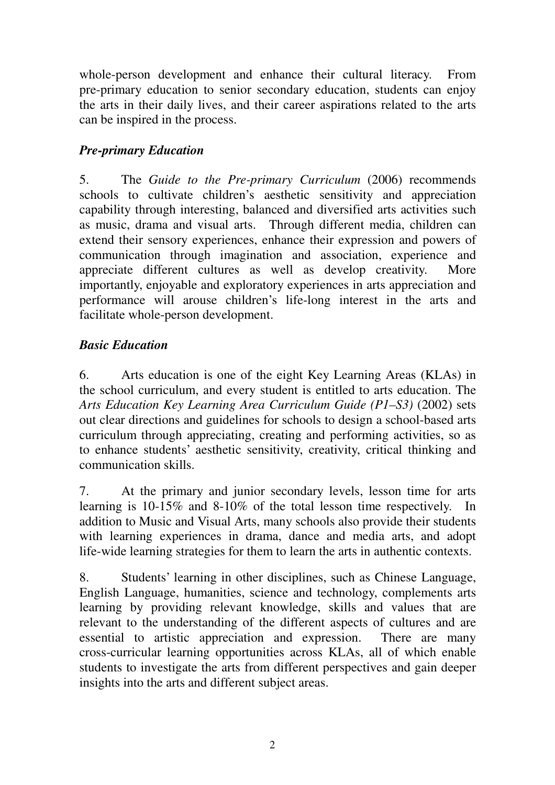whole-person development and enhance their cultural literacy. From pre-primary education to senior secondary education, students can enjoy the arts in their daily lives, and their career aspirations related to the arts can be inspired in the process.

# *Pre-primary Education*

5. The *Guide to the Pre-primary Curriculum* (2006) recommends schools to cultivate children's aesthetic sensitivity and appreciation capability through interesting, balanced and diversified arts activities such as music, drama and visual arts. Through different media, children can extend their sensory experiences, enhance their expression and powers of communication through imagination and association, experience and appreciate different cultures as well as develop creativity. More importantly, enjoyable and exploratory experiences in arts appreciation and performance will arouse children's life-long interest in the arts and facilitate whole-person development.

### *Basic Education*

6. Arts education is one of the eight Key Learning Areas (KLAs) in the school curriculum, and every student is entitled to arts education. The *Arts Education Key Learning Area Curriculum Guide (P1–S3)* (2002) sets out clear directions and guidelines for schools to design a school-based arts curriculum through appreciating, creating and performing activities, so as to enhance students' aesthetic sensitivity, creativity, critical thinking and communication skills.

7. At the primary and junior secondary levels, lesson time for arts learning is 10-15% and 8-10% of the total lesson time respectively. In addition to Music and Visual Arts, many schools also provide their students with learning experiences in drama, dance and media arts, and adopt life-wide learning strategies for them to learn the arts in authentic contexts.

8. Students' learning in other disciplines, such as Chinese Language, English Language, humanities, science and technology, complements arts learning by providing relevant knowledge, skills and values that are relevant to the understanding of the different aspects of cultures and are essential to artistic appreciation and expression. There are many cross-curricular learning opportunities across KLAs, all of which enable students to investigate the arts from different perspectives and gain deeper insights into the arts and different subject areas.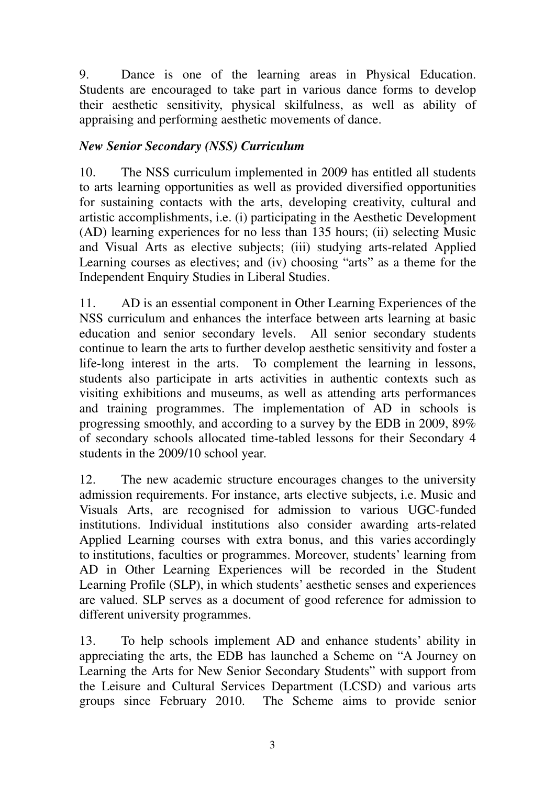9. Dance is one of the learning areas in Physical Education. Students are encouraged to take part in various dance forms to develop their aesthetic sensitivity, physical skilfulness, as well as ability of appraising and performing aesthetic movements of dance.

### *New Senior Secondary (NSS) Curriculum*

10. The NSS curriculum implemented in 2009 has entitled all students to arts learning opportunities as well as provided diversified opportunities for sustaining contacts with the arts, developing creativity, cultural and artistic accomplishments, i.e. (i) participating in the Aesthetic Development (AD) learning experiences for no less than 135 hours; (ii) selecting Music and Visual Arts as elective subjects; (iii) studying arts-related Applied Learning courses as electives; and (iv) choosing "arts" as a theme for the Independent Enquiry Studies in Liberal Studies.

11. AD is an essential component in Other Learning Experiences of the NSS curriculum and enhances the interface between arts learning at basic education and senior secondary levels. All senior secondary students continue to learn the arts to further develop aesthetic sensitivity and foster a life-long interest in the arts. To complement the learning in lessons, students also participate in arts activities in authentic contexts such as visiting exhibitions and museums, as well as attending arts performances and training programmes. The implementation of AD in schools is progressing smoothly, and according to a survey by the EDB in 2009, 89% of secondary schools allocated time-tabled lessons for their Secondary 4 students in the 2009/10 school year.

12. The new academic structure encourages changes to the university admission requirements. For instance, arts elective subjects, i.e. Music and Visuals Arts, are recognised for admission to various UGC-funded institutions. Individual institutions also consider awarding arts-related Applied Learning courses with extra bonus, and this varies accordingly to institutions, faculties or programmes. Moreover, students' learning from AD in Other Learning Experiences will be recorded in the Student Learning Profile (SLP), in which students' aesthetic senses and experiences are valued. SLP serves as a document of good reference for admission to different university programmes.

13. To help schools implement AD and enhance students' ability in appreciating the arts, the EDB has launched a Scheme on "A Journey on Learning the Arts for New Senior Secondary Students" with support from the Leisure and Cultural Services Department (LCSD) and various arts groups since February 2010. The Scheme aims to provide senior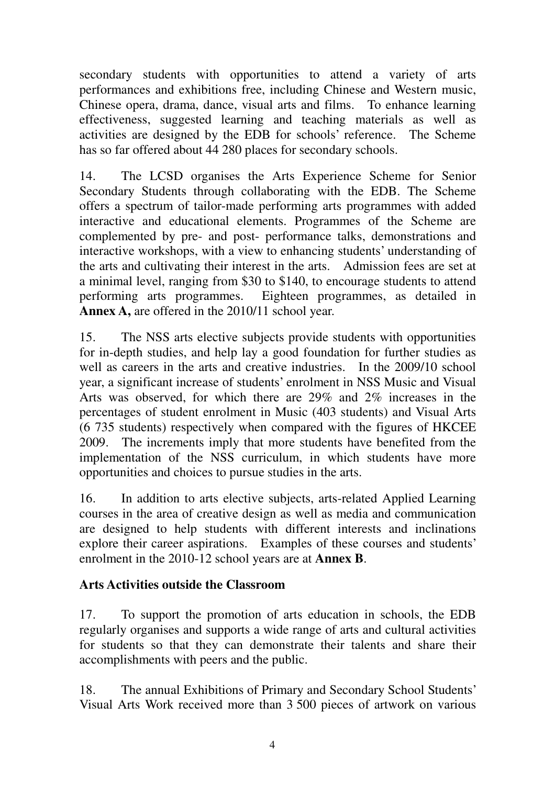secondary students with opportunities to attend a variety of arts performances and exhibitions free, including Chinese and Western music, Chinese opera, drama, dance, visual arts and films. To enhance learning effectiveness, suggested learning and teaching materials as well as activities are designed by the EDB for schools' reference. The Scheme has so far offered about 44 280 places for secondary schools.

14. The LCSD organises the Arts Experience Scheme for Senior Secondary Students through collaborating with the EDB. The Scheme offers a spectrum of tailor-made performing arts programmes with added interactive and educational elements. Programmes of the Scheme are complemented by pre- and post- performance talks, demonstrations and interactive workshops, with a view to enhancing students' understanding of the arts and cultivating their interest in the arts. Admission fees are set at a minimal level, ranging from \$30 to \$140, to encourage students to attend performing arts programmes. Eighteen programmes, as detailed in **Annex A,** are offered in the 2010/11 school year.

15. The NSS arts elective subjects provide students with opportunities for in-depth studies, and help lay a good foundation for further studies as well as careers in the arts and creative industries. In the 2009/10 school year, a significant increase of students' enrolment in NSS Music and Visual Arts was observed, for which there are 29% and 2% increases in the percentages of student enrolment in Music (403 students) and Visual Arts (6 735 students) respectively when compared with the figures of HKCEE 2009. The increments imply that more students have benefited from the implementation of the NSS curriculum, in which students have more opportunities and choices to pursue studies in the arts.

16. In addition to arts elective subjects, arts-related Applied Learning courses in the area of creative design as well as media and communication are designed to help students with different interests and inclinations explore their career aspirations. Examples of these courses and students' enrolment in the 2010-12 school years are at **Annex B**.

### **Arts Activities outside the Classroom**

17. To support the promotion of arts education in schools, the EDB regularly organises and supports a wide range of arts and cultural activities for students so that they can demonstrate their talents and share their accomplishments with peers and the public.

18. The annual Exhibitions of Primary and Secondary School Students' Visual Arts Work received more than 3 500 pieces of artwork on various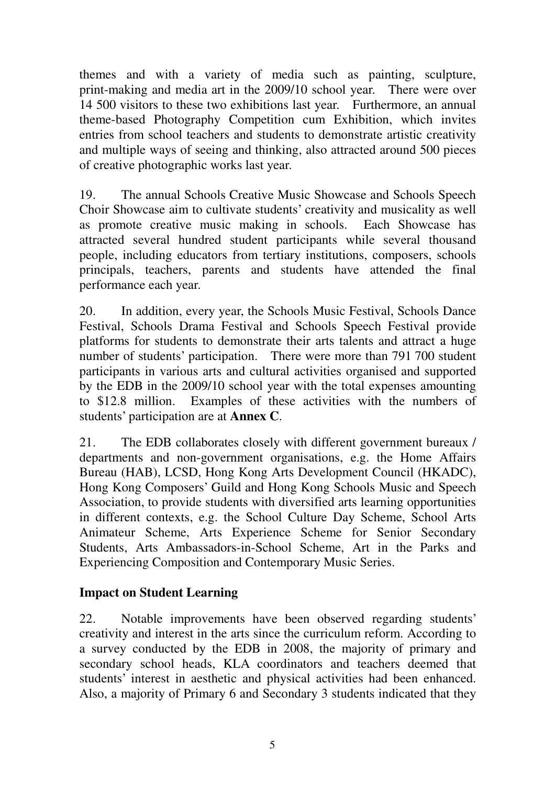themes and with a variety of media such as painting, sculpture, print-making and media art in the 2009/10 school year. There were over 14 500 visitors to these two exhibitions last year. Furthermore, an annual theme-based Photography Competition cum Exhibition, which invites entries from school teachers and students to demonstrate artistic creativity and multiple ways of seeing and thinking, also attracted around 500 pieces of creative photographic works last year.

19. The annual Schools Creative Music Showcase and Schools Speech Choir Showcase aim to cultivate students' creativity and musicality as well as promote creative music making in schools. Each Showcase has attracted several hundred student participants while several thousand people, including educators from tertiary institutions, composers, schools principals, teachers, parents and students have attended the final performance each year.

20. In addition, every year, the Schools Music Festival, Schools Dance Festival, Schools Drama Festival and Schools Speech Festival provide platforms for students to demonstrate their arts talents and attract a huge number of students' participation. There were more than 791 700 student participants in various arts and cultural activities organised and supported by the EDB in the 2009/10 school year with the total expenses amounting to \$12.8 million. Examples of these activities with the numbers of students' participation are at **Annex C**.

21. The EDB collaborates closely with different government bureaux / departments and non-government organisations, e.g. the Home Affairs Bureau (HAB), LCSD, Hong Kong Arts Development Council (HKADC), Hong Kong Composers' Guild and Hong Kong Schools Music and Speech Association, to provide students with diversified arts learning opportunities in different contexts, e.g. the School Culture Day Scheme, School Arts Animateur Scheme, Arts Experience Scheme for Senior Secondary Students, Arts Ambassadors-in-School Scheme, Art in the Parks and Experiencing Composition and Contemporary Music Series.

### **Impact on Student Learning**

22. Notable improvements have been observed regarding students' creativity and interest in the arts since the curriculum reform. According to a survey conducted by the EDB in 2008, the majority of primary and secondary school heads, KLA coordinators and teachers deemed that students' interest in aesthetic and physical activities had been enhanced. Also, a majority of Primary 6 and Secondary 3 students indicated that they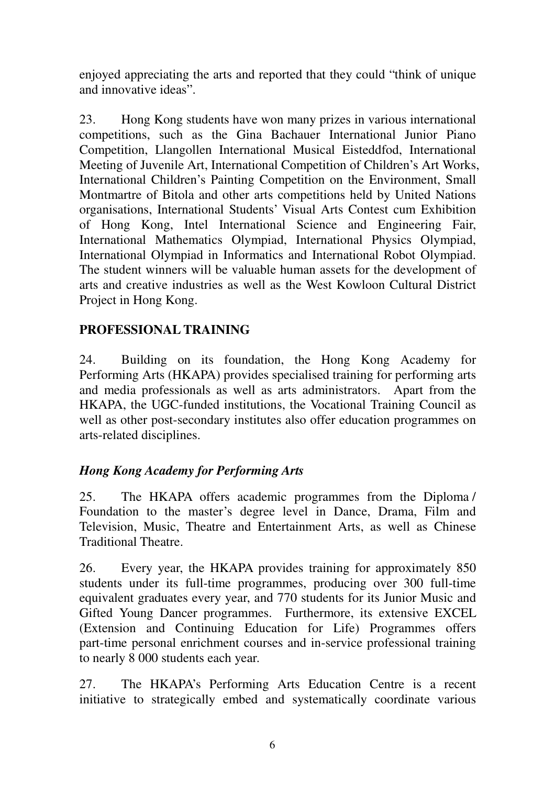enjoyed appreciating the arts and reported that they could "think of unique and innovative ideas".

23. Hong Kong students have won many prizes in various international competitions, such as the Gina Bachauer International Junior Piano Competition, Llangollen International Musical Eisteddfod, International Meeting of Juvenile Art, International Competition of Children's Art Works, International Children's Painting Competition on the Environment, Small Montmartre of Bitola and other arts competitions held by United Nations organisations, International Students' Visual Arts Contest cum Exhibition of Hong Kong, Intel International Science and Engineering Fair, International Mathematics Olympiad, International Physics Olympiad, International Olympiad in Informatics and International Robot Olympiad. The student winners will be valuable human assets for the development of arts and creative industries as well as the West Kowloon Cultural District Project in Hong Kong.

### **PROFESSIONAL TRAINING**

24. Building on its foundation, the Hong Kong Academy for Performing Arts (HKAPA) provides specialised training for performing arts and media professionals as well as arts administrators. Apart from the HKAPA, the UGC-funded institutions, the Vocational Training Council as well as other post-secondary institutes also offer education programmes on arts-related disciplines.

### *Hong Kong Academy for Performing Arts*

25. The HKAPA offers academic programmes from the Diploma / Foundation to the master's degree level in Dance, Drama, Film and Television, Music, Theatre and Entertainment Arts, as well as Chinese Traditional Theatre.

26. Every year, the HKAPA provides training for approximately 850 students under its full-time programmes, producing over 300 full-time equivalent graduates every year, and 770 students for its Junior Music and Gifted Young Dancer programmes. Furthermore, its extensive EXCEL (Extension and Continuing Education for Life) Programmes offers part-time personal enrichment courses and in-service professional training to nearly 8 000 students each year.

27. The HKAPA's Performing Arts Education Centre is a recent initiative to strategically embed and systematically coordinate various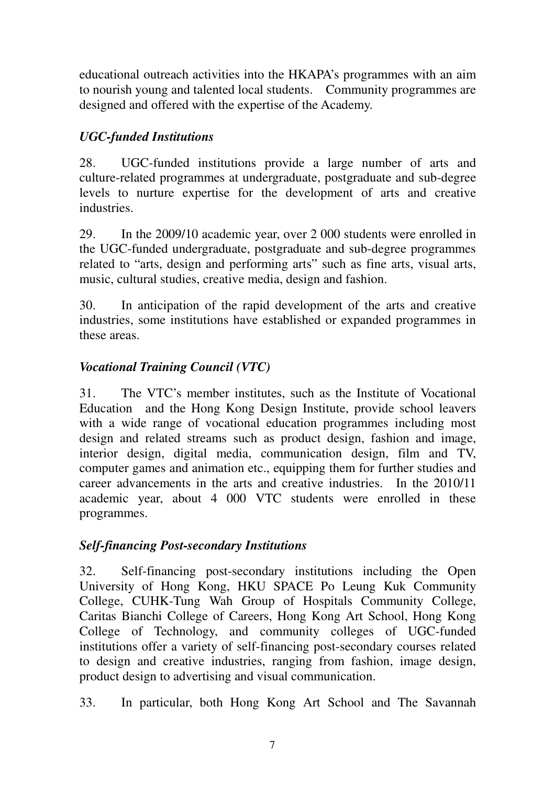educational outreach activities into the HKAPA's programmes with an aim to nourish young and talented local students. Community programmes are designed and offered with the expertise of the Academy.

# *UGC-funded Institutions*

28. UGC-funded institutions provide a large number of arts and culture-related programmes at undergraduate, postgraduate and sub-degree levels to nurture expertise for the development of arts and creative industries.

29. In the 2009/10 academic year, over 2 000 students were enrolled in the UGC-funded undergraduate, postgraduate and sub-degree programmes related to "arts, design and performing arts" such as fine arts, visual arts, music, cultural studies, creative media, design and fashion.

30. In anticipation of the rapid development of the arts and creative industries, some institutions have established or expanded programmes in these areas.

# *Vocational Training Council (VTC)*

31. The VTC's member institutes, such as the Institute of Vocational Education and the Hong Kong Design Institute, provide school leavers with a wide range of vocational education programmes including most design and related streams such as product design, fashion and image, interior design, digital media, communication design, film and TV, computer games and animation etc., equipping them for further studies and career advancements in the arts and creative industries. In the 2010/11 academic year, about 4 000 VTC students were enrolled in these programmes.

# *Self-financing Post-secondary Institutions*

32. Self-financing post-secondary institutions including the Open University of Hong Kong, HKU SPACE Po Leung Kuk Community College, CUHK-Tung Wah Group of Hospitals Community College, Caritas Bianchi College of Careers, Hong Kong Art School, Hong Kong College of Technology, and community colleges of UGC-funded institutions offer a variety of self-financing post-secondary courses related to design and creative industries, ranging from fashion, image design, product design to advertising and visual communication.

33. In particular, both Hong Kong Art School and The Savannah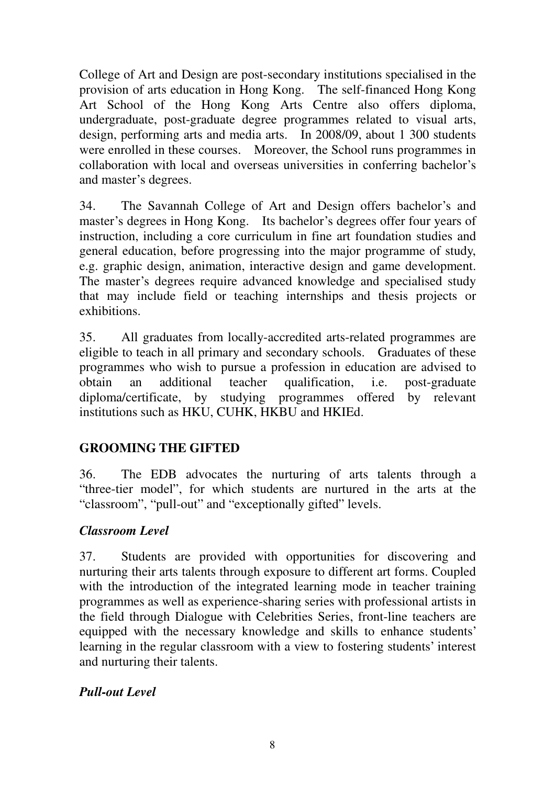College of Art and Design are post-secondary institutions specialised in the provision of arts education in Hong Kong. The self-financed Hong Kong Art School of the Hong Kong Arts Centre also offers diploma, undergraduate, post-graduate degree programmes related to visual arts, design, performing arts and media arts. In 2008/09, about 1 300 students were enrolled in these courses. Moreover, the School runs programmes in collaboration with local and overseas universities in conferring bachelor's and master's degrees.

34. The Savannah College of Art and Design offers bachelor's and master's degrees in Hong Kong. Its bachelor's degrees offer four years of instruction, including a core curriculum in fine art foundation studies and general education, before progressing into the major programme of study, e.g. graphic design, animation, interactive design and game development. The master's degrees require advanced knowledge and specialised study that may include field or teaching internships and thesis projects or exhibitions.

35. All graduates from locally-accredited arts-related programmes are eligible to teach in all primary and secondary schools. Graduates of these programmes who wish to pursue a profession in education are advised to obtain an additional teacher qualification, i.e. post-graduate diploma/certificate, by studying programmes offered by relevant institutions such as HKU, CUHK, HKBU and HKIEd.

### **GROOMING THE GIFTED**

36. The EDB advocates the nurturing of arts talents through a "three-tier model", for which students are nurtured in the arts at the "classroom", "pull-out" and "exceptionally gifted" levels.

### *Classroom Level*

37. Students are provided with opportunities for discovering and nurturing their arts talents through exposure to different art forms. Coupled with the introduction of the integrated learning mode in teacher training programmes as well as experience-sharing series with professional artists in the field through Dialogue with Celebrities Series, front-line teachers are equipped with the necessary knowledge and skills to enhance students' learning in the regular classroom with a view to fostering students' interest and nurturing their talents.

#### *Pull-out Level*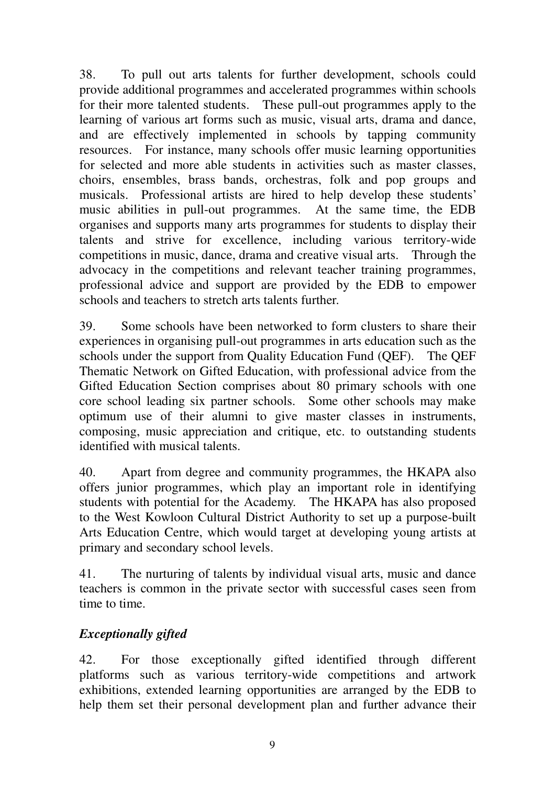38. To pull out arts talents for further development, schools could provide additional programmes and accelerated programmes within schools for their more talented students. These pull-out programmes apply to the learning of various art forms such as music, visual arts, drama and dance, and are effectively implemented in schools by tapping community resources. For instance, many schools offer music learning opportunities for selected and more able students in activities such as master classes, choirs, ensembles, brass bands, orchestras, folk and pop groups and musicals. Professional artists are hired to help develop these students' music abilities in pull-out programmes. At the same time, the EDB organises and supports many arts programmes for students to display their talents and strive for excellence, including various territory-wide competitions in music, dance, drama and creative visual arts. Through the advocacy in the competitions and relevant teacher training programmes, professional advice and support are provided by the EDB to empower schools and teachers to stretch arts talents further.

39. Some schools have been networked to form clusters to share their experiences in organising pull-out programmes in arts education such as the schools under the support from Quality Education Fund (QEF). The QEF Thematic Network on Gifted Education, with professional advice from the Gifted Education Section comprises about 80 primary schools with one core school leading six partner schools. Some other schools may make optimum use of their alumni to give master classes in instruments, composing, music appreciation and critique, etc. to outstanding students identified with musical talents.

40. Apart from degree and community programmes, the HKAPA also offers junior programmes, which play an important role in identifying students with potential for the Academy. The HKAPA has also proposed to the West Kowloon Cultural District Authority to set up a purpose-built Arts Education Centre, which would target at developing young artists at primary and secondary school levels.

41. The nurturing of talents by individual visual arts, music and dance teachers is common in the private sector with successful cases seen from time to time.

# *Exceptionally gifted*

42. For those exceptionally gifted identified through different platforms such as various territory-wide competitions and artwork exhibitions, extended learning opportunities are arranged by the EDB to help them set their personal development plan and further advance their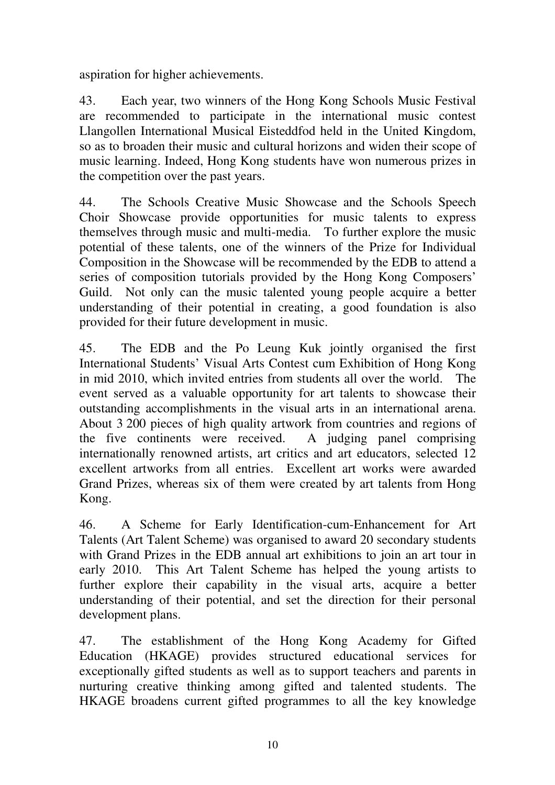aspiration for higher achievements.

43. Each year, two winners of the Hong Kong Schools Music Festival are recommended to participate in the international music contest Llangollen International Musical Eisteddfod held in the United Kingdom, so as to broaden their music and cultural horizons and widen their scope of music learning. Indeed, Hong Kong students have won numerous prizes in the competition over the past years.

44. The Schools Creative Music Showcase and the Schools Speech Choir Showcase provide opportunities for music talents to express themselves through music and multi-media. To further explore the music potential of these talents, one of the winners of the Prize for Individual Composition in the Showcase will be recommended by the EDB to attend a series of composition tutorials provided by the Hong Kong Composers' Guild. Not only can the music talented young people acquire a better understanding of their potential in creating, a good foundation is also provided for their future development in music.

45. The EDB and the Po Leung Kuk jointly organised the first International Students' Visual Arts Contest cum Exhibition of Hong Kong in mid 2010, which invited entries from students all over the world. The event served as a valuable opportunity for art talents to showcase their outstanding accomplishments in the visual arts in an international arena. About 3 200 pieces of high quality artwork from countries and regions of the five continents were received. A judging panel comprising internationally renowned artists, art critics and art educators, selected 12 excellent artworks from all entries. Excellent art works were awarded Grand Prizes, whereas six of them were created by art talents from Hong Kong.

46. A Scheme for Early Identification-cum-Enhancement for Art Talents (Art Talent Scheme) was organised to award 20 secondary students with Grand Prizes in the EDB annual art exhibitions to join an art tour in early 2010. This Art Talent Scheme has helped the young artists to further explore their capability in the visual arts, acquire a better understanding of their potential, and set the direction for their personal development plans.

47. The establishment of the Hong Kong Academy for Gifted Education (HKAGE) provides structured educational services for exceptionally gifted students as well as to support teachers and parents in nurturing creative thinking among gifted and talented students. The HKAGE broadens current gifted programmes to all the key knowledge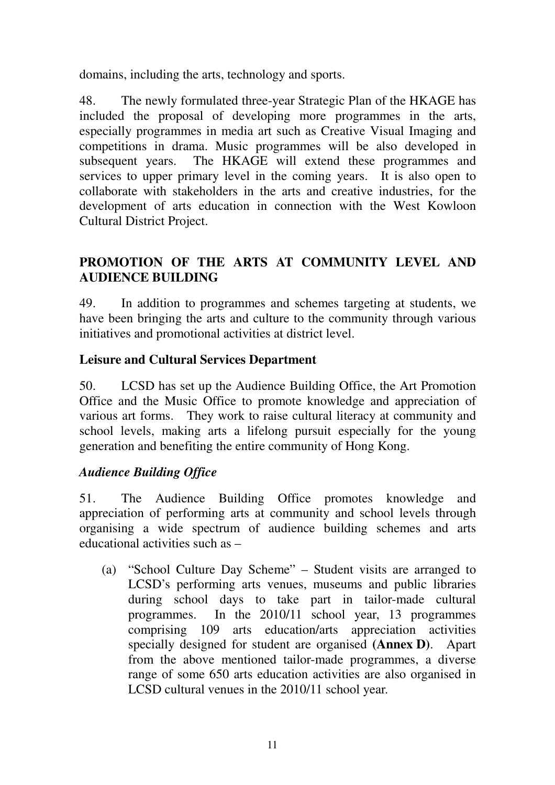domains, including the arts, technology and sports.

48. The newly formulated three-year Strategic Plan of the HKAGE has included the proposal of developing more programmes in the arts, especially programmes in media art such as Creative Visual Imaging and competitions in drama. Music programmes will be also developed in subsequent years. The HKAGE will extend these programmes and services to upper primary level in the coming years. It is also open to collaborate with stakeholders in the arts and creative industries, for the development of arts education in connection with the West Kowloon Cultural District Project.

### **PROMOTION OF THE ARTS AT COMMUNITY LEVEL AND AUDIENCE BUILDING**

49. In addition to programmes and schemes targeting at students, we have been bringing the arts and culture to the community through various initiatives and promotional activities at district level.

### **Leisure and Cultural Services Department**

50. LCSD has set up the Audience Building Office, the Art Promotion Office and the Music Office to promote knowledge and appreciation of various art forms. They work to raise cultural literacy at community and school levels, making arts a lifelong pursuit especially for the young generation and benefiting the entire community of Hong Kong.

#### *Audience Building Office*

51. The Audience Building Office promotes knowledge and appreciation of performing arts at community and school levels through organising a wide spectrum of audience building schemes and arts educational activities such as –

(a) "School Culture Day Scheme" – Student visits are arranged to LCSD's performing arts venues, museums and public libraries during school days to take part in tailor-made cultural programmes. In the 2010/11 school year, 13 programmes comprising 109 arts education/arts appreciation activities specially designed for student are organised **(Annex D)**. Apart from the above mentioned tailor-made programmes, a diverse range of some 650 arts education activities are also organised in LCSD cultural venues in the 2010/11 school year.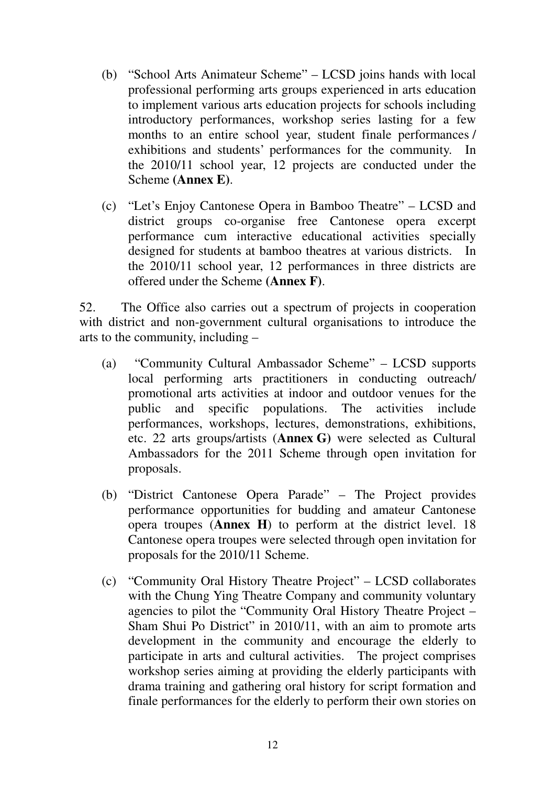- (b) "School Arts Animateur Scheme" LCSD joins hands with local professional performing arts groups experienced in arts education to implement various arts education projects for schools including introductory performances, workshop series lasting for a few months to an entire school year, student finale performances / exhibitions and students' performances for the community. In the 2010/11 school year, 12 projects are conducted under the Scheme **(Annex E)**.
- (c) "Let's Enjoy Cantonese Opera in Bamboo Theatre" LCSD and district groups co-organise free Cantonese opera excerpt performance cum interactive educational activities specially designed for students at bamboo theatres at various districts. In the 2010/11 school year, 12 performances in three districts are offered under the Scheme **(Annex F)**.

52. The Office also carries out a spectrum of projects in cooperation with district and non-government cultural organisations to introduce the arts to the community, including –

- (a) "Community Cultural Ambassador Scheme" LCSD supports local performing arts practitioners in conducting outreach/ promotional arts activities at indoor and outdoor venues for the public and specific populations. The activities include performances, workshops, lectures, demonstrations, exhibitions, etc. 22 arts groups/artists (**Annex G)** were selected as Cultural Ambassadors for the 2011 Scheme through open invitation for proposals.
- (b) "District Cantonese Opera Parade" The Project provides performance opportunities for budding and amateur Cantonese opera troupes (**Annex H**) to perform at the district level. 18 Cantonese opera troupes were selected through open invitation for proposals for the 2010/11 Scheme.
- (c) "Community Oral History Theatre Project" LCSD collaborates with the Chung Ying Theatre Company and community voluntary agencies to pilot the "Community Oral History Theatre Project – Sham Shui Po District" in 2010/11, with an aim to promote arts development in the community and encourage the elderly to participate in arts and cultural activities. The project comprises workshop series aiming at providing the elderly participants with drama training and gathering oral history for script formation and finale performances for the elderly to perform their own stories on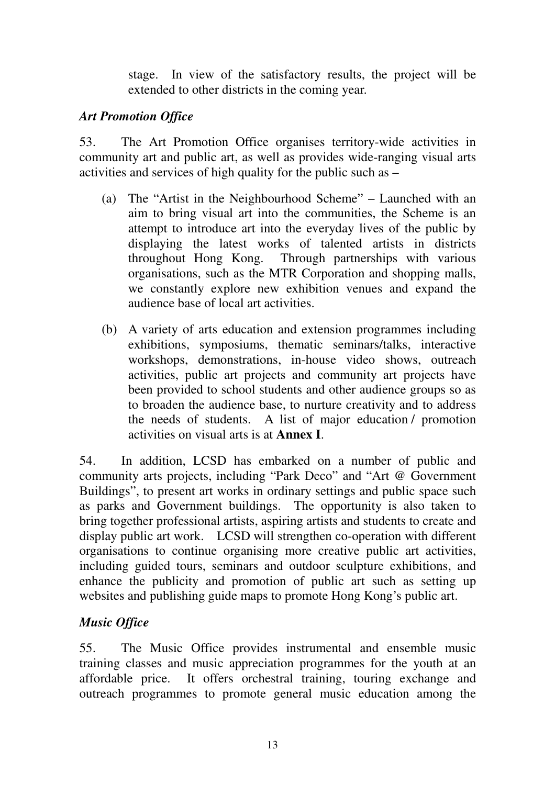stage. In view of the satisfactory results, the project will be extended to other districts in the coming year.

### *Art Promotion Office*

53. The Art Promotion Office organises territory-wide activities in community art and public art, as well as provides wide-ranging visual arts activities and services of high quality for the public such as –

- (a) The "Artist in the Neighbourhood Scheme" Launched with an aim to bring visual art into the communities, the Scheme is an attempt to introduce art into the everyday lives of the public by displaying the latest works of talented artists in districts throughout Hong Kong. Through partnerships with various organisations, such as the MTR Corporation and shopping malls, we constantly explore new exhibition venues and expand the audience base of local art activities.
- (b) A variety of arts education and extension programmes including exhibitions, symposiums, thematic seminars/talks, interactive workshops, demonstrations, in-house video shows, outreach activities, public art projects and community art projects have been provided to school students and other audience groups so as to broaden the audience base, to nurture creativity and to address the needs of students. A list of major education / promotion activities on visual arts is at **Annex I**.

54. In addition, LCSD has embarked on a number of public and community arts projects, including "Park Deco" and "Art @ Government Buildings", to present art works in ordinary settings and public space such as parks and Government buildings. The opportunity is also taken to bring together professional artists, aspiring artists and students to create and display public art work. LCSD will strengthen co-operation with different organisations to continue organising more creative public art activities, including guided tours, seminars and outdoor sculpture exhibitions, and enhance the publicity and promotion of public art such as setting up websites and publishing guide maps to promote Hong Kong's public art.

# *Music Office*

55. The Music Office provides instrumental and ensemble music training classes and music appreciation programmes for the youth at an affordable price. It offers orchestral training, touring exchange and outreach programmes to promote general music education among the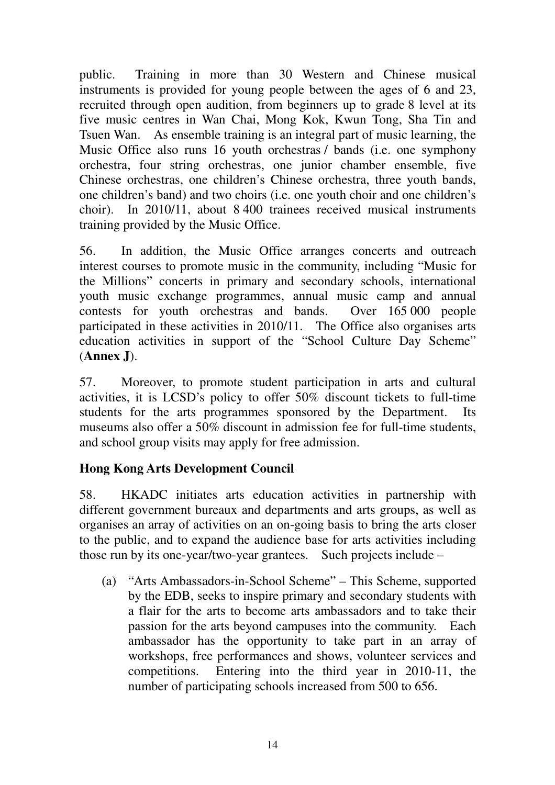public. Training in more than 30 Western and Chinese musical instruments is provided for young people between the ages of 6 and 23, recruited through open audition, from beginners up to grade 8 level at its five music centres in Wan Chai, Mong Kok, Kwun Tong, Sha Tin and Tsuen Wan. As ensemble training is an integral part of music learning, the Music Office also runs 16 youth orchestras / bands (i.e. one symphony orchestra, four string orchestras, one junior chamber ensemble, five Chinese orchestras, one children's Chinese orchestra, three youth bands, one children's band) and two choirs (i.e. one youth choir and one children's choir). In 2010/11, about 8 400 trainees received musical instruments training provided by the Music Office.

56. In addition, the Music Office arranges concerts and outreach interest courses to promote music in the community, including "Music for the Millions" concerts in primary and secondary schools, international youth music exchange programmes, annual music camp and annual contests for youth orchestras and bands. Over 165 000 people participated in these activities in 2010/11. The Office also organises arts education activities in support of the "School Culture Day Scheme" (**Annex J**).

57. Moreover, to promote student participation in arts and cultural activities, it is LCSD's policy to offer 50% discount tickets to full-time students for the arts programmes sponsored by the Department. Its museums also offer a 50% discount in admission fee for full-time students, and school group visits may apply for free admission.

### **Hong Kong Arts Development Council**

58. HKADC initiates arts education activities in partnership with different government bureaux and departments and arts groups, as well as organises an array of activities on an on-going basis to bring the arts closer to the public, and to expand the audience base for arts activities including those run by its one-year/two-year grantees. Such projects include –

(a) "Arts Ambassadors-in-School Scheme" – This Scheme, supported by the EDB, seeks to inspire primary and secondary students with a flair for the arts to become arts ambassadors and to take their passion for the arts beyond campuses into the community. Each ambassador has the opportunity to take part in an array of workshops, free performances and shows, volunteer services and competitions. Entering into the third year in 2010-11, the number of participating schools increased from 500 to 656.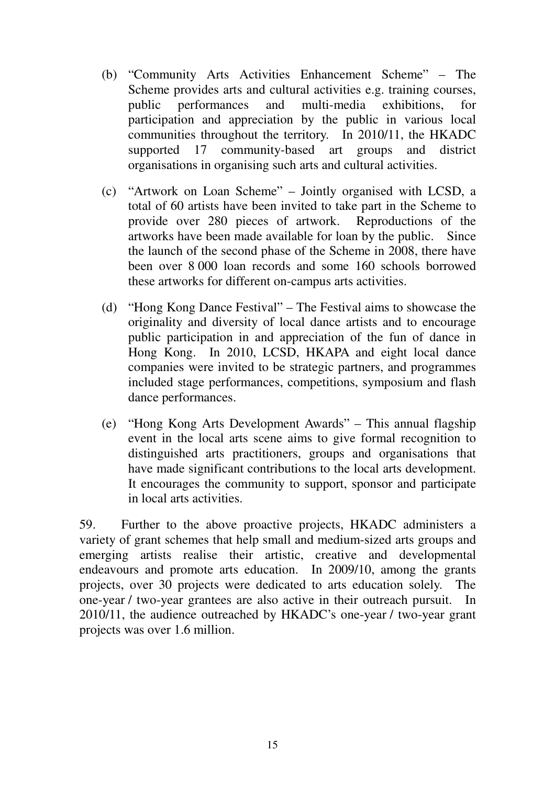- (b) "Community Arts Activities Enhancement Scheme" The Scheme provides arts and cultural activities e.g. training courses, public performances and multi-media exhibitions, for participation and appreciation by the public in various local communities throughout the territory. In 2010/11, the HKADC supported 17 community-based art groups and district organisations in organising such arts and cultural activities.
- (c) "Artwork on Loan Scheme" Jointly organised with LCSD, a total of 60 artists have been invited to take part in the Scheme to provide over 280 pieces of artwork. Reproductions of the artworks have been made available for loan by the public. Since the launch of the second phase of the Scheme in 2008, there have been over 8 000 loan records and some 160 schools borrowed these artworks for different on-campus arts activities.
- (d) "Hong Kong Dance Festival" The Festival aims to showcase the originality and diversity of local dance artists and to encourage public participation in and appreciation of the fun of dance in Hong Kong. In 2010, LCSD, HKAPA and eight local dance companies were invited to be strategic partners, and programmes included stage performances, competitions, symposium and flash dance performances.
- (e) "Hong Kong Arts Development Awards" This annual flagship event in the local arts scene aims to give formal recognition to distinguished arts practitioners, groups and organisations that have made significant contributions to the local arts development. It encourages the community to support, sponsor and participate in local arts activities.

59. Further to the above proactive projects, HKADC administers a variety of grant schemes that help small and medium-sized arts groups and emerging artists realise their artistic, creative and developmental endeavours and promote arts education. In 2009/10, among the grants projects, over 30 projects were dedicated to arts education solely. The one-year / two-year grantees are also active in their outreach pursuit. In 2010/11, the audience outreached by HKADC's one-year / two-year grant projects was over 1.6 million.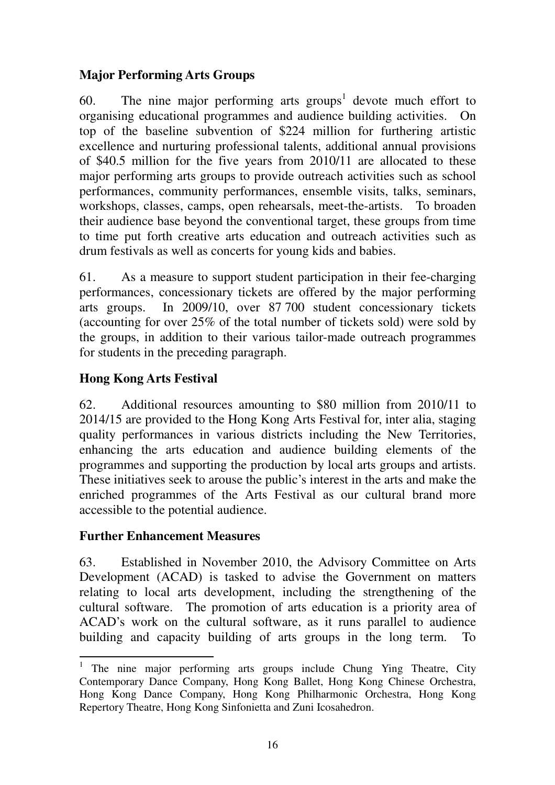# **Major Performing Arts Groups**

60. The nine major performing arts groups<sup>1</sup> devote much effort to organising educational programmes and audience building activities. On top of the baseline subvention of \$224 million for furthering artistic excellence and nurturing professional talents, additional annual provisions of \$40.5 million for the five years from 2010/11 are allocated to these major performing arts groups to provide outreach activities such as school performances, community performances, ensemble visits, talks, seminars, workshops, classes, camps, open rehearsals, meet-the-artists. To broaden their audience base beyond the conventional target, these groups from time to time put forth creative arts education and outreach activities such as drum festivals as well as concerts for young kids and babies.

61. As a measure to support student participation in their fee-charging performances, concessionary tickets are offered by the major performing arts groups. In 2009/10, over 87 700 student concessionary tickets (accounting for over 25% of the total number of tickets sold) were sold by the groups, in addition to their various tailor-made outreach programmes for students in the preceding paragraph.

# **Hong Kong Arts Festival**

62. Additional resources amounting to \$80 million from 2010/11 to 2014/15 are provided to the Hong Kong Arts Festival for, inter alia, staging quality performances in various districts including the New Territories, enhancing the arts education and audience building elements of the programmes and supporting the production by local arts groups and artists. These initiatives seek to arouse the public's interest in the arts and make the enriched programmes of the Arts Festival as our cultural brand more accessible to the potential audience.

# **Further Enhancement Measures**

63. Established in November 2010, the Advisory Committee on Arts Development (ACAD) is tasked to advise the Government on matters relating to local arts development, including the strengthening of the cultural software. The promotion of arts education is a priority area of ACAD's work on the cultural software, as it runs parallel to audience building and capacity building of arts groups in the long term. To

 $\overline{a}$ 1 The nine major performing arts groups include Chung Ying Theatre, City Contemporary Dance Company, Hong Kong Ballet, Hong Kong Chinese Orchestra, Hong Kong Dance Company, Hong Kong Philharmonic Orchestra, Hong Kong Repertory Theatre, Hong Kong Sinfonietta and Zuni Icosahedron.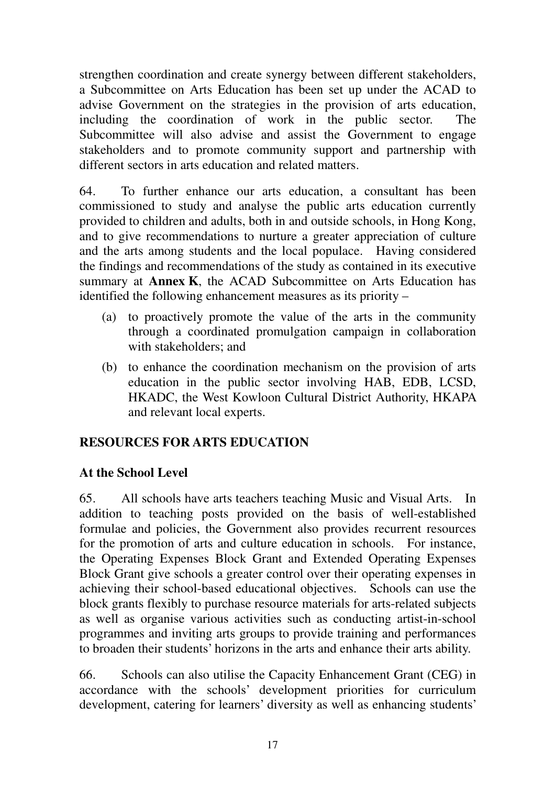strengthen coordination and create synergy between different stakeholders, a Subcommittee on Arts Education has been set up under the ACAD to advise Government on the strategies in the provision of arts education, including the coordination of work in the public sector. The Subcommittee will also advise and assist the Government to engage stakeholders and to promote community support and partnership with different sectors in arts education and related matters.

64. To further enhance our arts education, a consultant has been commissioned to study and analyse the public arts education currently provided to children and adults, both in and outside schools, in Hong Kong, and to give recommendations to nurture a greater appreciation of culture and the arts among students and the local populace. Having considered the findings and recommendations of the study as contained in its executive summary at **Annex K**, the ACAD Subcommittee on Arts Education has identified the following enhancement measures as its priority –

- (a) to proactively promote the value of the arts in the community through a coordinated promulgation campaign in collaboration with stakeholders; and
- (b) to enhance the coordination mechanism on the provision of arts education in the public sector involving HAB, EDB, LCSD, HKADC, the West Kowloon Cultural District Authority, HKAPA and relevant local experts.

# **RESOURCES FOR ARTS EDUCATION**

#### **At the School Level**

65. All schools have arts teachers teaching Music and Visual Arts. In addition to teaching posts provided on the basis of well-established formulae and policies, the Government also provides recurrent resources for the promotion of arts and culture education in schools. For instance, the Operating Expenses Block Grant and Extended Operating Expenses Block Grant give schools a greater control over their operating expenses in achieving their school-based educational objectives. Schools can use the block grants flexibly to purchase resource materials for arts-related subjects as well as organise various activities such as conducting artist-in-school programmes and inviting arts groups to provide training and performances to broaden their students' horizons in the arts and enhance their arts ability.

66. Schools can also utilise the Capacity Enhancement Grant (CEG) in accordance with the schools' development priorities for curriculum development, catering for learners' diversity as well as enhancing students'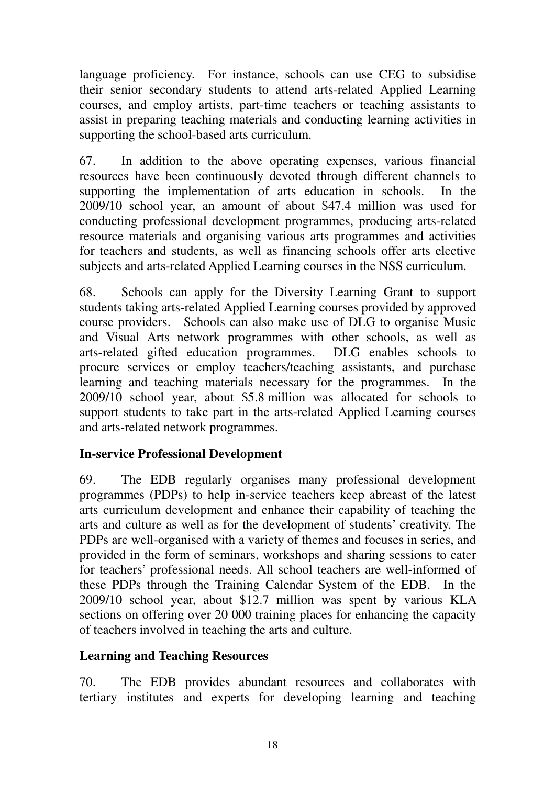language proficiency. For instance, schools can use CEG to subsidise their senior secondary students to attend arts-related Applied Learning courses, and employ artists, part-time teachers or teaching assistants to assist in preparing teaching materials and conducting learning activities in supporting the school-based arts curriculum.

67. In addition to the above operating expenses, various financial resources have been continuously devoted through different channels to supporting the implementation of arts education in schools. In the 2009/10 school year, an amount of about \$47.4 million was used for conducting professional development programmes, producing arts-related resource materials and organising various arts programmes and activities for teachers and students, as well as financing schools offer arts elective subjects and arts-related Applied Learning courses in the NSS curriculum.

68. Schools can apply for the Diversity Learning Grant to support students taking arts-related Applied Learning courses provided by approved course providers. Schools can also make use of DLG to organise Music and Visual Arts network programmes with other schools, as well as arts-related gifted education programmes. DLG enables schools to procure services or employ teachers/teaching assistants, and purchase learning and teaching materials necessary for the programmes. In the 2009/10 school year, about \$5.8 million was allocated for schools to support students to take part in the arts-related Applied Learning courses and arts-related network programmes.

### **In-service Professional Development**

69. The EDB regularly organises many professional development programmes (PDPs) to help in-service teachers keep abreast of the latest arts curriculum development and enhance their capability of teaching the arts and culture as well as for the development of students' creativity. The PDPs are well-organised with a variety of themes and focuses in series, and provided in the form of seminars, workshops and sharing sessions to cater for teachers' professional needs. All school teachers are well-informed of these PDPs through the Training Calendar System of the EDB. In the 2009/10 school year, about \$12.7 million was spent by various KLA sections on offering over 20 000 training places for enhancing the capacity of teachers involved in teaching the arts and culture.

#### **Learning and Teaching Resources**

70. The EDB provides abundant resources and collaborates with tertiary institutes and experts for developing learning and teaching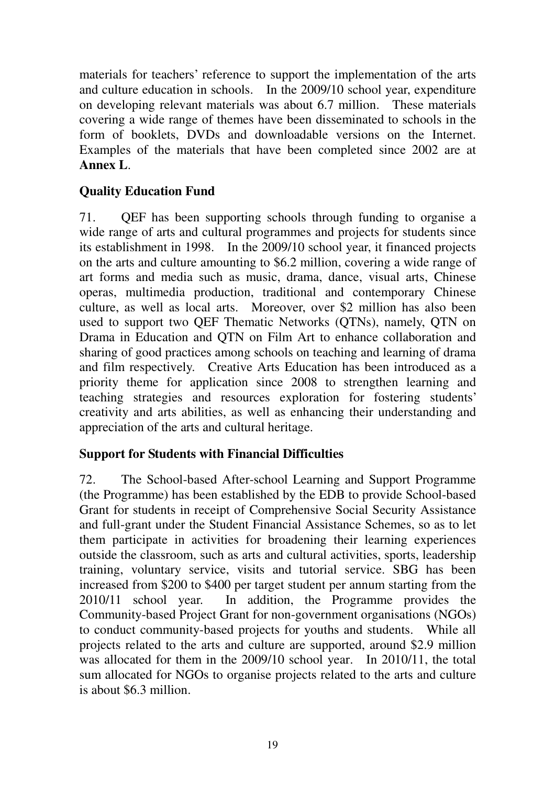materials for teachers' reference to support the implementation of the arts and culture education in schools. In the 2009/10 school year, expenditure on developing relevant materials was about 6.7 million. These materials covering a wide range of themes have been disseminated to schools in the form of booklets, DVDs and downloadable versions on the Internet. Examples of the materials that have been completed since 2002 are at **Annex L**.

### **Quality Education Fund**

71. QEF has been supporting schools through funding to organise a wide range of arts and cultural programmes and projects for students since its establishment in 1998. In the 2009/10 school year, it financed projects on the arts and culture amounting to \$6.2 million, covering a wide range of art forms and media such as music, drama, dance, visual arts, Chinese operas, multimedia production, traditional and contemporary Chinese culture, as well as local arts. Moreover, over \$2 million has also been used to support two QEF Thematic Networks (QTNs), namely, QTN on Drama in Education and QTN on Film Art to enhance collaboration and sharing of good practices among schools on teaching and learning of drama and film respectively. Creative Arts Education has been introduced as a priority theme for application since 2008 to strengthen learning and teaching strategies and resources exploration for fostering students' creativity and arts abilities, as well as enhancing their understanding and appreciation of the arts and cultural heritage.

### **Support for Students with Financial Difficulties**

72. The School-based After-school Learning and Support Programme (the Programme) has been established by the EDB to provide School-based Grant for students in receipt of Comprehensive Social Security Assistance and full-grant under the Student Financial Assistance Schemes, so as to let them participate in activities for broadening their learning experiences outside the classroom, such as arts and cultural activities, sports, leadership training, voluntary service, visits and tutorial service. SBG has been increased from \$200 to \$400 per target student per annum starting from the 2010/11 school year. In addition, the Programme provides the Community-based Project Grant for non-government organisations (NGOs) to conduct community-based projects for youths and students. While all projects related to the arts and culture are supported, around \$2.9 million was allocated for them in the 2009/10 school year. In 2010/11, the total sum allocated for NGOs to organise projects related to the arts and culture is about \$6.3 million.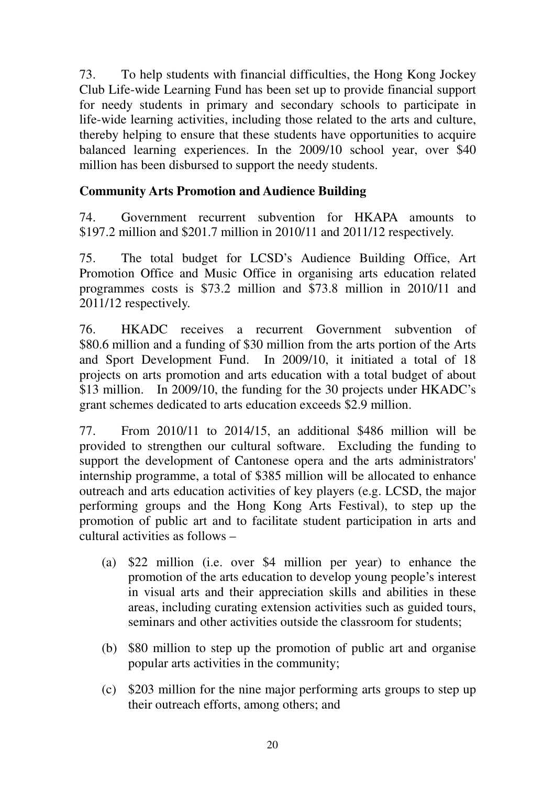73. To help students with financial difficulties, the Hong Kong Jockey Club Life-wide Learning Fund has been set up to provide financial support for needy students in primary and secondary schools to participate in life-wide learning activities, including those related to the arts and culture, thereby helping to ensure that these students have opportunities to acquire balanced learning experiences. In the 2009/10 school year, over \$40 million has been disbursed to support the needy students.

### **Community Arts Promotion and Audience Building**

74. Government recurrent subvention for HKAPA amounts to \$197.2 million and \$201.7 million in 2010/11 and 2011/12 respectively.

75. The total budget for LCSD's Audience Building Office, Art Promotion Office and Music Office in organising arts education related programmes costs is \$73.2 million and \$73.8 million in 2010/11 and 2011/12 respectively.

76. HKADC receives a recurrent Government subvention of \$80.6 million and a funding of \$30 million from the arts portion of the Arts and Sport Development Fund. In 2009/10, it initiated a total of 18 projects on arts promotion and arts education with a total budget of about \$13 million. In 2009/10, the funding for the 30 projects under HKADC's grant schemes dedicated to arts education exceeds \$2.9 million.

77. From 2010/11 to 2014/15, an additional \$486 million will be provided to strengthen our cultural software. Excluding the funding to support the development of Cantonese opera and the arts administrators' internship programme, a total of \$385 million will be allocated to enhance outreach and arts education activities of key players (e.g. LCSD, the major performing groups and the Hong Kong Arts Festival), to step up the promotion of public art and to facilitate student participation in arts and cultural activities as follows –

- (a) \$22 million (i.e. over \$4 million per year) to enhance the promotion of the arts education to develop young people's interest in visual arts and their appreciation skills and abilities in these areas, including curating extension activities such as guided tours, seminars and other activities outside the classroom for students;
- (b) \$80 million to step up the promotion of public art and organise popular arts activities in the community;
- (c) \$203 million for the nine major performing arts groups to step up their outreach efforts, among others; and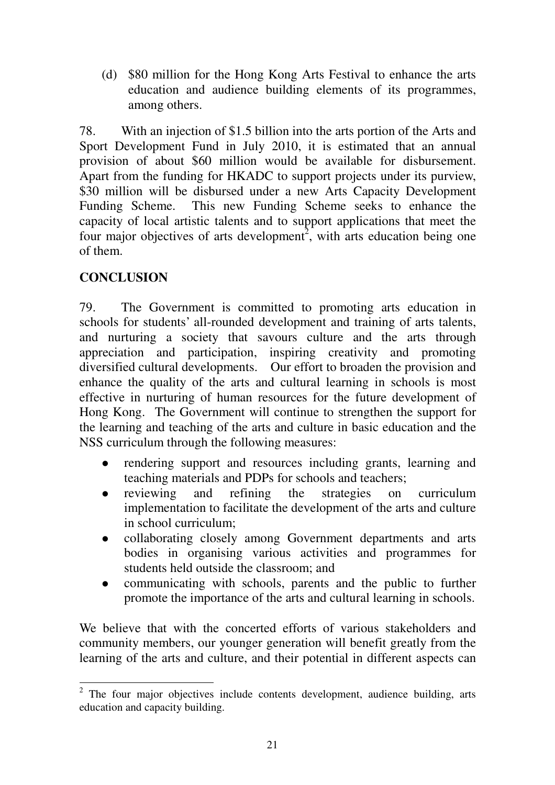(d) \$80 million for the Hong Kong Arts Festival to enhance the arts education and audience building elements of its programmes, among others.

78. With an injection of \$1.5 billion into the arts portion of the Arts and Sport Development Fund in July 2010, it is estimated that an annual provision of about \$60 million would be available for disbursement. Apart from the funding for HKADC to support projects under its purview, \$30 million will be disbursed under a new Arts Capacity Development Funding Scheme. This new Funding Scheme seeks to enhance the capacity of local artistic talents and to support applications that meet the four major objectives of arts development<sup>2</sup>, with arts education being one of them.

### **CONCLUSION**

79. The Government is committed to promoting arts education in schools for students' all-rounded development and training of arts talents, and nurturing a society that savours culture and the arts through appreciation and participation, inspiring creativity and promoting diversified cultural developments. Our effort to broaden the provision and enhance the quality of the arts and cultural learning in schools is most effective in nurturing of human resources for the future development of Hong Kong. The Government will continue to strengthen the support for the learning and teaching of the arts and culture in basic education and the NSS curriculum through the following measures:

- rendering support and resources including grants, learning and teaching materials and PDPs for schools and teachers;
- reviewing and refining the strategies on curriculum implementation to facilitate the development of the arts and culture in school curriculum;
- collaborating closely among Government departments and arts bodies in organising various activities and programmes for students held outside the classroom; and
- communicating with schools, parents and the public to further promote the importance of the arts and cultural learning in schools.

We believe that with the concerted efforts of various stakeholders and community members, our younger generation will benefit greatly from the learning of the arts and culture, and their potential in different aspects can

<sup>&</sup>lt;sup>2</sup> The four major objectives include contents development, audience building, arts education and capacity building.